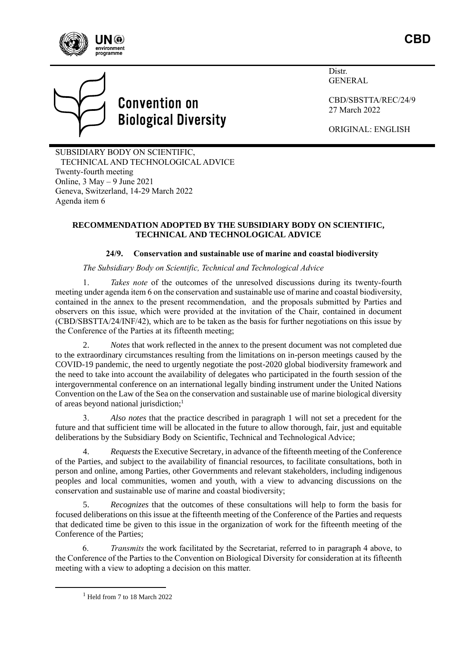



# **Convention on Biological Diversity**

Distr. GENERAL

CBD/SBSTTA/REC/24/9 27 March 2022

ORIGINAL: ENGLISH

SUBSIDIARY BODY ON SCIENTIFIC, TECHNICAL AND TECHNOLOGICAL ADVICE Twenty-fourth meeting Online,  $3$  May  $-9$  June 2021 Geneva, Switzerland, 14-29 March 2022 Agenda item 6

## **RECOMMENDATION ADOPTED BY THE SUBSIDIARY BODY ON SCIENTIFIC, TECHNICAL AND TECHNOLOGICAL ADVICE**

# **24/9. Conservation and sustainable use of marine and coastal biodiversity**

## *The Subsidiary Body on Scientific, Technical and Technological Advice*

1. *Takes note* of the outcomes of the unresolved discussions during its twenty-fourth meeting under agenda item 6 on the conservation and sustainable use of marine and coastal biodiversity, contained in the annex to the present recommendation, and the proposals submitted by Parties and observers on this issue, which were provided at the invitation of the Chair, contained in document (CBD/SBSTTA/24/INF/42), which are to be taken as the basis for further negotiations on this issue by the Conference of the Parties at its fifteenth meeting;

2. *Notes* that work reflected in the annex to the present document was not completed due to the extraordinary circumstances resulting from the limitations on in-person meetings caused by the COVID-19 pandemic, the need to urgently negotiate the post-2020 global biodiversity framework and the need to take into account the availability of delegates who participated in the fourth session of the intergovernmental conference on an international legally binding instrument under the United Nations Convention on the Law of the Sea on the conservation and sustainable use of marine biological diversity of areas beyond national jurisdiction; 1

3. *Also notes* that the practice described in paragraph 1 will not set a precedent for the future and that sufficient time will be allocated in the future to allow thorough, fair, just and equitable deliberations by the Subsidiary Body on Scientific, Technical and Technological Advice;

4. *Requests*the Executive Secretary, in advance of the fifteenth meeting of the Conference of the Parties, and subject to the availability of financial resources, to facilitate consultations, both in person and online, among Parties, other Governments and relevant stakeholders, including indigenous peoples and local communities, women and youth, with a view to advancing discussions on the conservation and sustainable use of marine and coastal biodiversity;

5. *Recognizes* that the outcomes of these consultations will help to form the basis for focused deliberations on this issue at the fifteenth meeting of the Conference of the Parties and requests that dedicated time be given to this issue in the organization of work for the fifteenth meeting of the Conference of the Parties;

6. *Transmits* the work facilitated by the Secretariat, referred to in paragraph 4 above, to the Conference of the Parties to the Convention on Biological Diversity for consideration at its fifteenth meeting with a view to adopting a decision on this matter.

 $<sup>1</sup>$  Held from 7 to 18 March 2022</sup>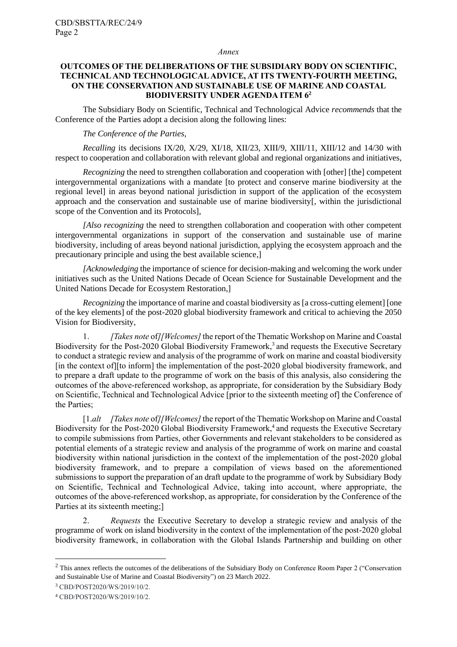#### *Annex*

## **OUTCOMES OF THE DELIBERATIONS OF THE SUBSIDIARY BODY ON SCIENTIFIC, TECHNICAL AND TECHNOLOGICAL ADVICE, AT ITS TWENTY-FOURTH MEETING, ON THE CONSERVATION AND SUSTAINABLE USE OF MARINE AND COASTAL BIODIVERSITY UNDER AGENDA ITEM 6<sup>2</sup>**

The Subsidiary Body on Scientific, Technical and Technological Advice *recommends* that the Conference of the Parties adopt a decision along the following lines:

## *The Conference of the Parties,*

*Recalling* its decisions IX/20, X/29, XI/18, XII/23, XIII/9, XIII/11, XIII/12 and 14/30 with respect to cooperation and collaboration with relevant global and regional organizations and initiatives,

*Recognizing* the need to strengthen collaboration and cooperation with [other] [the] competent intergovernmental organizations with a mandate [to protect and conserve marine biodiversity at the regional level] in areas beyond national jurisdiction in support of the application of the ecosystem approach and the conservation and sustainable use of marine biodiversity[, within the jurisdictional scope of the Convention and its Protocols],

*[Also recognizing* the need to strengthen collaboration and cooperation with other competent intergovernmental organizations in support of the conservation and sustainable use of marine biodiversity, including of areas beyond national jurisdiction, applying the ecosystem approach and the precautionary principle and using the best available science,]

*[Acknowledging* the importance of science for decision-making and welcoming the work under initiatives such as the United Nations Decade of Ocean Science for Sustainable Development and the United Nations Decade for Ecosystem Restoration,]

*Recognizing* the importance of marine and coastal biodiversity as [a cross-cutting element] [one of the key elements] of the post-2020 global biodiversity framework and critical to achieving the 2050 Vision for Biodiversity,

1. *[Takes note* of*][Welcomes]*the report of the Thematic Workshop on Marine and Coastal Biodiversity for the Post-2020 Global Biodiversity Framework,<sup>3</sup> and requests the Executive Secretary to conduct a strategic review and analysis of the programme of work on marine and coastal biodiversity [in the context of][to inform] the implementation of the post-2020 global biodiversity framework, and to prepare a draft update to the programme of work on the basis of this analysis, also considering the outcomes of the above-referenced workshop, as appropriate, for consideration by the Subsidiary Body on Scientific, Technical and Technological Advice [prior to the sixteenth meeting of] the Conference of the Parties;

[1.*alt [Takes note* of*][Welcomes]* the report of the Thematic Workshop on Marine and Coastal Biodiversity for the Post-2020 Global Biodiversity Framework,<sup>4</sup> and requests the Executive Secretary to compile submissions from Parties, other Governments and relevant stakeholders to be considered as potential elements of a strategic review and analysis of the programme of work on marine and coastal biodiversity within national jurisdiction in the context of the implementation of the post-2020 global biodiversity framework, and to prepare a compilation of views based on the aforementioned submissions to support the preparation of an draft update to the programme of work by Subsidiary Body on Scientific, Technical and Technological Advice, taking into account, where appropriate, the outcomes of the above-referenced workshop, as appropriate, for consideration by the Conference of the Parties at its sixteenth meeting;]

2. *Requests* the Executive Secretary to develop a strategic review and analysis of the programme of work on island biodiversity in the context of the implementation of the post-2020 global biodiversity framework, in collaboration with the Global Islands Partnership and building on other

<sup>&</sup>lt;sup>2</sup> This annex reflects the outcomes of the deliberations of the Subsidiary Body on Conference Room Paper 2 ("Conservation") and Sustainable Use of Marine and Coastal Biodiversity") on 23 March 2022.

<sup>3</sup> CBD/POST2020/WS/2019/10/2.

<sup>4</sup> CBD/POST2020/WS/2019/10/2.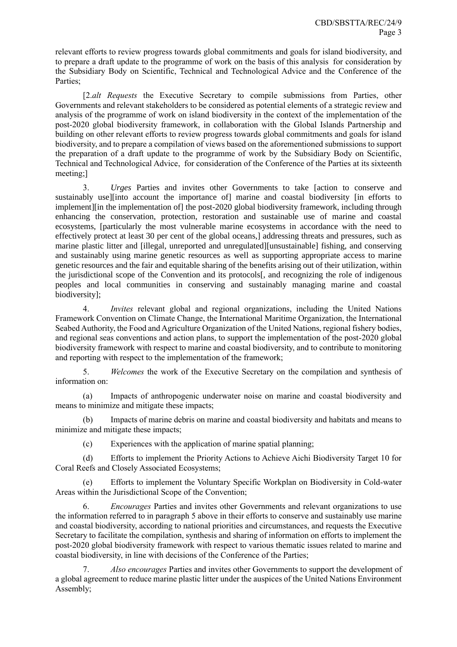relevant efforts to review progress towards global commitments and goals for island biodiversity, and to prepare a draft update to the programme of work on the basis of this analysis for consideration by the Subsidiary Body on Scientific, Technical and Technological Advice and the Conference of the Parties;

[2.*alt Requests* the Executive Secretary to compile submissions from Parties, other Governments and relevant stakeholders to be considered as potential elements of a strategic review and analysis of the programme of work on island biodiversity in the context of the implementation of the post-2020 global biodiversity framework, in collaboration with the Global Islands Partnership and building on other relevant efforts to review progress towards global commitments and goals for island biodiversity, and to prepare a compilation of views based on the aforementioned submissions to support the preparation of a draft update to the programme of work by the Subsidiary Body on Scientific, Technical and Technological Advice, for consideration of the Conference of the Parties at its sixteenth meeting;]

3. *Urges* Parties and invites other Governments to take [action to conserve and sustainably use][into account the importance of] marine and coastal biodiversity [in efforts to implement][in the implementation of] the post-2020 global biodiversity framework, including through enhancing the conservation, protection, restoration and sustainable use of marine and coastal ecosystems, [particularly the most vulnerable marine ecosystems in accordance with the need to effectively protect at least 30 per cent of the global oceans,] addressing threats and pressures, such as marine plastic litter and [illegal, unreported and unregulated][unsustainable] fishing, and conserving and sustainably using marine genetic resources as well as supporting appropriate access to marine genetic resources and the fair and equitable sharing of the benefits arising out of their utilization, within the jurisdictional scope of the Convention and its protocols[, and recognizing the role of indigenous peoples and local communities in conserving and sustainably managing marine and coastal biodiversity];

4. *Invites* relevant global and regional organizations, including the United Nations Framework Convention on Climate Change, the International Maritime Organization, the International Seabed Authority, the Food and Agriculture Organization of the United Nations, regional fishery bodies, and regional seas conventions and action plans, to support the implementation of the post-2020 global biodiversity framework with respect to marine and coastal biodiversity, and to contribute to monitoring and reporting with respect to the implementation of the framework;

5. *Welcomes* the work of the Executive Secretary on the compilation and synthesis of information on:

(a) Impacts of anthropogenic underwater noise on marine and coastal biodiversity and means to minimize and mitigate these impacts;

(b) Impacts of marine debris on marine and coastal biodiversity and habitats and means to minimize and mitigate these impacts;

(c) Experiences with the application of marine spatial planning;

(d) Efforts to implement the Priority Actions to Achieve Aichi Biodiversity Target 10 for Coral Reefs and Closely Associated Ecosystems;

Efforts to implement the Voluntary Specific Workplan on Biodiversity in Cold-water Areas within the Jurisdictional Scope of the Convention;

6. *Encourages* Parties and invites other Governments and relevant organizations to use the information referred to in paragraph 5 above in their efforts to conserve and sustainably use marine and coastal biodiversity, according to national priorities and circumstances, and requests the Executive Secretary to facilitate the compilation, synthesis and sharing of information on efforts to implement the post-2020 global biodiversity framework with respect to various thematic issues related to marine and coastal biodiversity, in line with decisions of the Conference of the Parties;

7. *Also encourages* Parties and invites other Governments to support the development of a global agreement to reduce marine plastic litter under the auspices of the United Nations Environment Assembly;